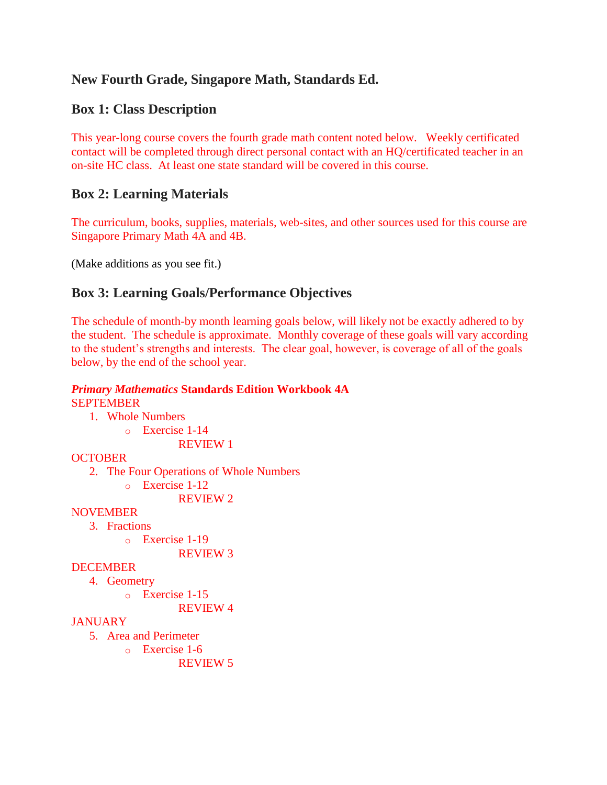# **New Fourth Grade, Singapore Math, Standards Ed.**

# **Box 1: Class Description**

This year-long course covers the fourth grade math content noted below. Weekly certificated contact will be completed through direct personal contact with an HQ/certificated teacher in an on-site HC class. At least one state standard will be covered in this course.

## **Box 2: Learning Materials**

The curriculum, books, supplies, materials, web-sites, and other sources used for this course are Singapore Primary Math 4A and 4B.

(Make additions as you see fit.)

## **Box 3: Learning Goals/Performance Objectives**

The schedule of month-by month learning goals below, will likely not be exactly adhered to by the student. The schedule is approximate. Monthly coverage of these goals will vary according to the student's strengths and interests. The clear goal, however, is coverage of all of the goals below, by the end of the school year.

#### *Primary Mathematics* **Standards Edition Workbook 4A** SEPTEMBER

- 1. Whole Numbers
	- o Exercise 1-14

REVIEW 1

## **OCTOBER**

2. The Four Operations of Whole Numbers

o Exercise 1-12

REVIEW 2

## **NOVEMBER**

3. Fractions

o Exercise 1-19

REVIEW 3

### DECEMBER

- 4. Geometry
	- o Exercise 1-15

REVIEW 4

## **JANUARY**

- 5. Area and Perimeter
	- o Exercise 1-6

REVIEW 5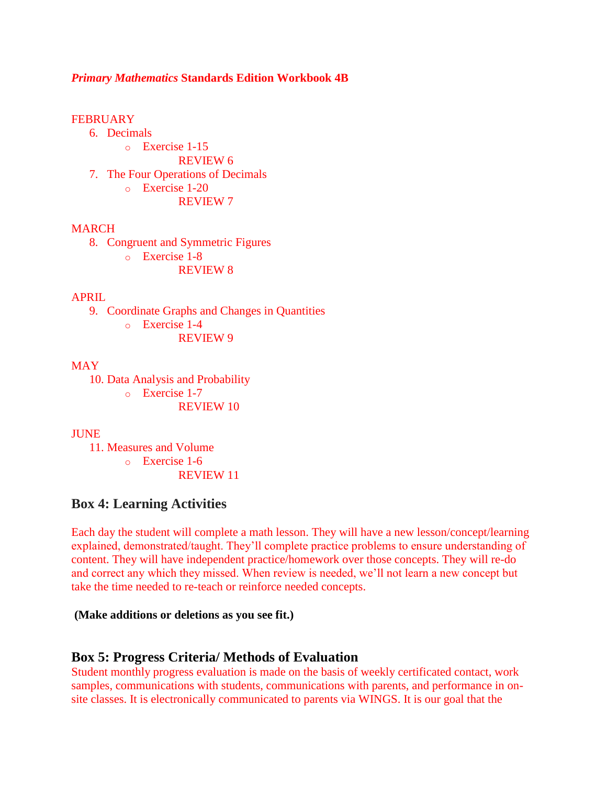### *Primary Mathematics* **Standards Edition Workbook 4B**

#### **FEBRUARY**

- 6. Decimals
- o Exercise 1-15 REVIEW 6 7. The Four Operations of Decimals o Exercise 1-20 REVIEW 7

#### MARCH

8. Congruent and Symmetric Figures o Exercise 1-8

REVIEW 8

#### APRIL

9. Coordinate Graphs and Changes in Quantities o Exercise 1-4

REVIEW 9

### **MAY**

10. Data Analysis and Probability

o Exercise 1-7

REVIEW 10

#### **JUNE**

11. Measures and Volume

o Exercise 1-6

REVIEW 11

### **Box 4: Learning Activities**

Each day the student will complete a math lesson. They will have a new lesson/concept/learning explained, demonstrated/taught. They'll complete practice problems to ensure understanding of content. They will have independent practice/homework over those concepts. They will re-do and correct any which they missed. When review is needed, we'll not learn a new concept but take the time needed to re-teach or reinforce needed concepts.

#### **(Make additions or deletions as you see fit.)**

### **Box 5: Progress Criteria/ Methods of Evaluation**

Student monthly progress evaluation is made on the basis of weekly certificated contact, work samples, communications with students, communications with parents, and performance in onsite classes. It is electronically communicated to parents via WINGS. It is our goal that the